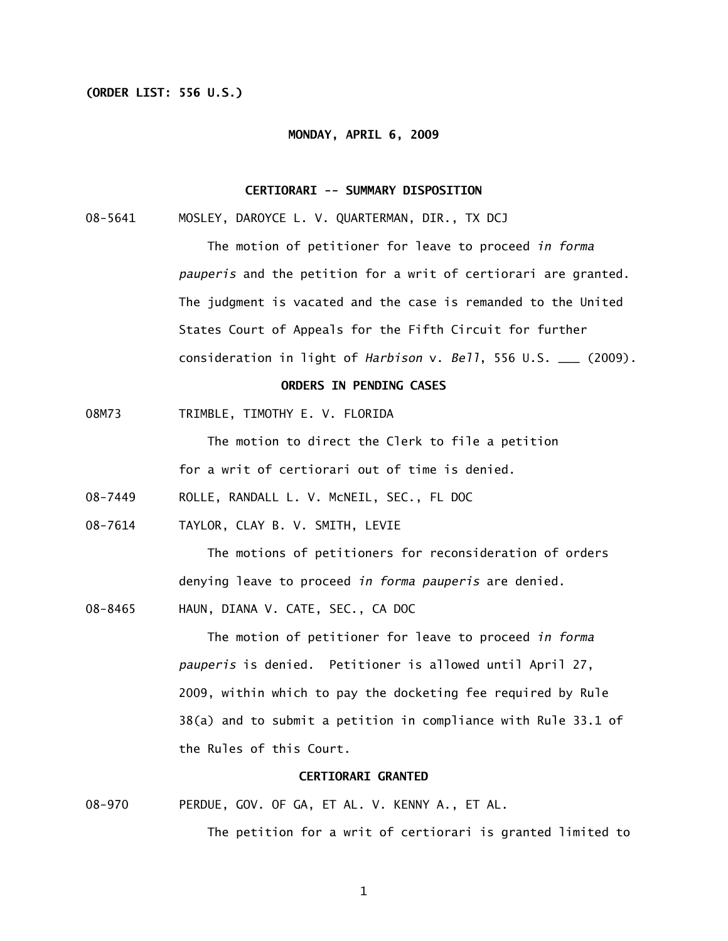## **(ORDER LIST: 556 U.S.)**

### **MONDAY, APRIL 6, 2009**

## **CERTIORARI -- SUMMARY DISPOSITION**

08-5641 MOSLEY, DAROYCE L. V. QUARTERMAN, DIR., TX DCJ

 The motion of petitioner for leave to proceed *in forma pauperis* and the petition for a writ of certiorari are granted. The judgment is vacated and the case is remanded to the United States Court of Appeals for the Fifth Circuit for further consideration in light of *Harbison* v. *Bell*, 556 U.S. \_\_\_ (2009).

## **ORDERS IN PENDING CASES**

08M73 TRIMBLE, TIMOTHY E. V. FLORIDA

The motion to direct the Clerk to file a petition

for a writ of certiorari out of time is denied.

- 08-7449 ROLLE, RANDALL L. V. McNEIL, SEC., FL DOC
- 08-7614 TAYLOR, CLAY B. V. SMITH, LEVIE

 The motions of petitioners for reconsideration of orders denying leave to proceed *in forma pauperis* are denied.

08-8465 HAUN, DIANA V. CATE, SEC., CA DOC

 The motion of petitioner for leave to proceed *in forma pauperis* is denied. Petitioner is allowed until April 27, 2009, within which to pay the docketing fee required by Rule 38(a) and to submit a petition in compliance with Rule 33.1 of the Rules of this Court.

### **CERTIORARI GRANTED**

08-970 PERDUE, GOV. OF GA, ET AL. V. KENNY A., ET AL.

The petition for a writ of certiorari is granted limited to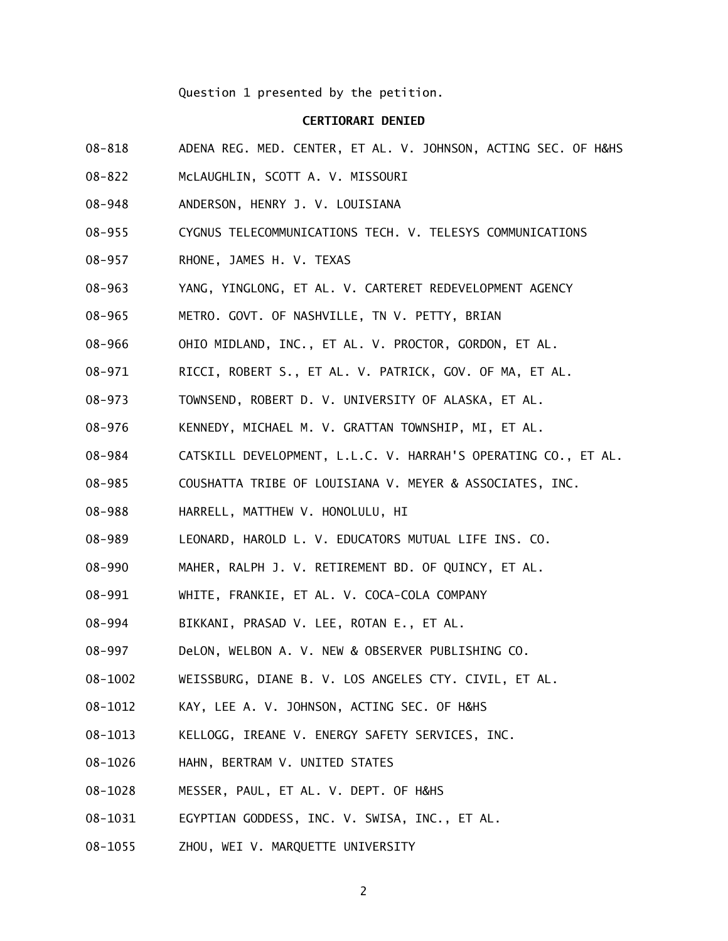Question 1 presented by the petition.

## **CERTIORARI DENIED**

- 08-818 ADENA REG. MED. CENTER, ET AL. V. JOHNSON, ACTING SEC. OF H&HS
- 08-822 McLAUGHLIN, SCOTT A. V. MISSOURI
- 08-948 ANDERSON, HENRY J. V. LOUISIANA
- 08-955 CYGNUS TELECOMMUNICATIONS TECH. V. TELESYS COMMUNICATIONS
- 08-957 RHONE, JAMES H. V. TEXAS
- 08-963 YANG, YINGLONG, ET AL. V. CARTERET REDEVELOPMENT AGENCY
- 08-965 METRO. GOVT. OF NASHVILLE, TN V. PETTY, BRIAN
- 08-966 OHIO MIDLAND, INC., ET AL. V. PROCTOR, GORDON, ET AL.
- 08-971 RICCI, ROBERT S., ET AL. V. PATRICK, GOV. OF MA, ET AL.
- 08-973 TOWNSEND, ROBERT D. V. UNIVERSITY OF ALASKA, ET AL.
- 08-976 KENNEDY, MICHAEL M. V. GRATTAN TOWNSHIP, MI, ET AL.
- 08-984 CATSKILL DEVELOPMENT, L.L.C. V. HARRAH'S OPERATING CO., ET AL.
- 08-985 COUSHATTA TRIBE OF LOUISIANA V. MEYER & ASSOCIATES, INC.
- 08-988 HARRELL, MATTHEW V. HONOLULU, HI
- 08-989 LEONARD, HAROLD L. V. EDUCATORS MUTUAL LIFE INS. CO.
- 08-990 MAHER, RALPH J. V. RETIREMENT BD. OF QUINCY, ET AL.
- 08-991 WHITE, FRANKIE, ET AL. V. COCA-COLA COMPANY
- 08-994 BIKKANI, PRASAD V. LEE, ROTAN E., ET AL.
- 08-997 DeLON, WELBON A. V. NEW & OBSERVER PUBLISHING CO.
- 08-1002 WEISSBURG, DIANE B. V. LOS ANGELES CTY. CIVIL, ET AL.
- 08-1012 KAY, LEE A. V. JOHNSON, ACTING SEC. OF H&HS
- 08-1013 KELLOGG, IREANE V. ENERGY SAFETY SERVICES, INC.
- 08-1026 HAHN, BERTRAM V. UNITED STATES
- 08-1028 MESSER, PAUL, ET AL. V. DEPT. OF H&HS
- 08-1031 EGYPTIAN GODDESS, INC. V. SWISA, INC., ET AL.
- 08-1055 ZHOU, WEI V. MARQUETTE UNIVERSITY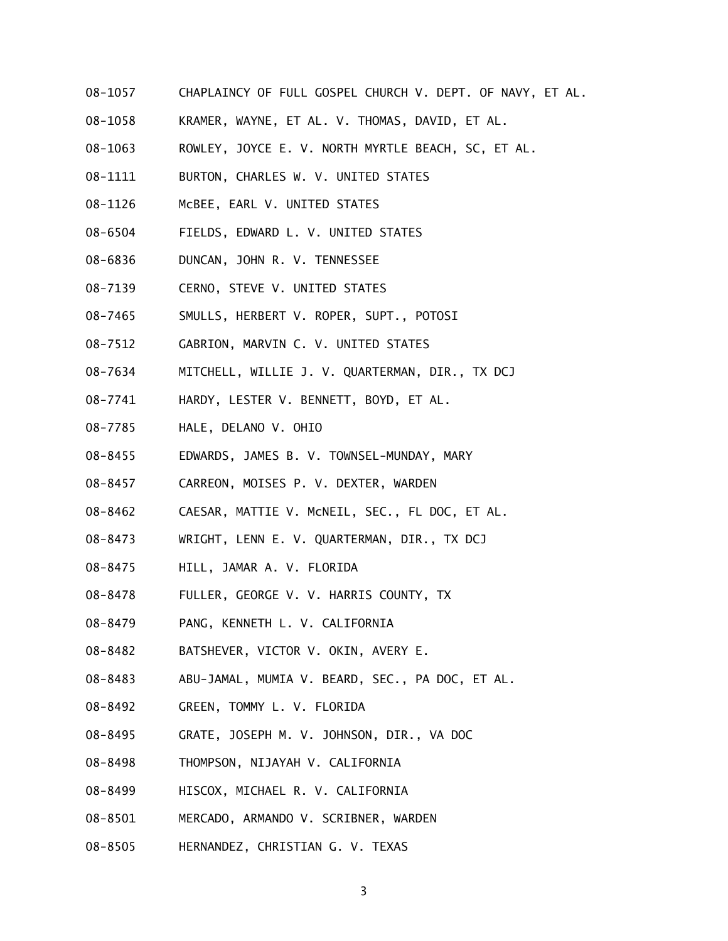- 08-1057 CHAPLAINCY OF FULL GOSPEL CHURCH V. DEPT. OF NAVY, ET AL.
- 08-1058 KRAMER, WAYNE, ET AL. V. THOMAS, DAVID, ET AL.
- 08-1063 ROWLEY, JOYCE E. V. NORTH MYRTLE BEACH, SC, ET AL.
- 08-1111 BURTON, CHARLES W. V. UNITED STATES
- 08-1126 McBEE, EARL V. UNITED STATES
- 08-6504 FIELDS, EDWARD L. V. UNITED STATES
- 08-6836 DUNCAN, JOHN R. V. TENNESSEE
- 08-7139 CERNO, STEVE V. UNITED STATES
- 08-7465 SMULLS, HERBERT V. ROPER, SUPT., POTOSI
- 08-7512 GABRION, MARVIN C. V. UNITED STATES
- 08-7634 MITCHELL, WILLIE J. V. QUARTERMAN, DIR., TX DCJ
- 08-7741 HARDY, LESTER V. BENNETT, BOYD, ET AL.
- 08-7785 HALE, DELANO V. OHIO
- 08-8455 EDWARDS, JAMES B. V. TOWNSEL-MUNDAY, MARY
- 08-8457 CARREON, MOISES P. V. DEXTER, WARDEN
- 08-8462 CAESAR, MATTIE V. McNEIL, SEC., FL DOC, ET AL.
- 08-8473 WRIGHT, LENN E. V. QUARTERMAN, DIR., TX DCJ
- 08-8475 HILL, JAMAR A. V. FLORIDA
- 08-8478 FULLER, GEORGE V. V. HARRIS COUNTY, TX
- 08-8479 PANG, KENNETH L. V. CALIFORNIA
- 08-8482 BATSHEVER, VICTOR V. OKIN, AVERY E.
- 08-8483 ABU-JAMAL, MUMIA V. BEARD, SEC., PA DOC, ET AL.
- 08-8492 GREEN, TOMMY L. V. FLORIDA
- 08-8495 GRATE, JOSEPH M. V. JOHNSON, DIR., VA DOC
- 08-8498 THOMPSON, NIJAYAH V. CALIFORNIA
- 08-8499 HISCOX, MICHAEL R. V. CALIFORNIA
- 08-8501 MERCADO, ARMANDO V. SCRIBNER, WARDEN
- 08-8505 HERNANDEZ, CHRISTIAN G. V. TEXAS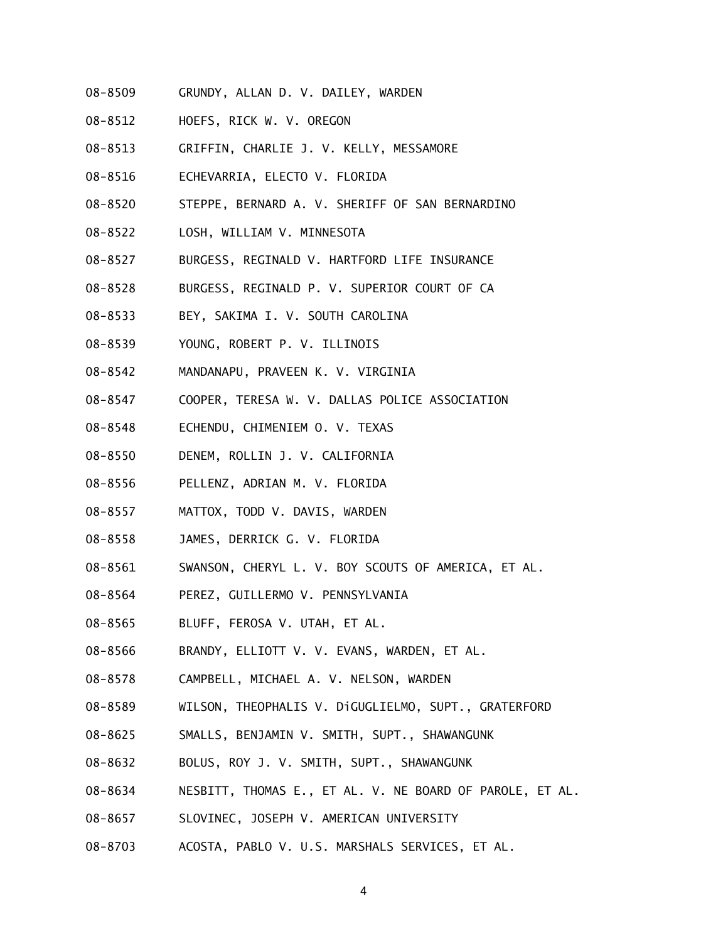- 08-8509 GRUNDY, ALLAN D. V. DAILEY, WARDEN
- 08-8512 HOEFS, RICK W. V. OREGON
- 08-8513 GRIFFIN, CHARLIE J. V. KELLY, MESSAMORE
- 08-8516 ECHEVARRIA, ELECTO V. FLORIDA
- 08-8520 STEPPE, BERNARD A. V. SHERIFF OF SAN BERNARDINO
- 08-8522 LOSH, WILLIAM V. MINNESOTA
- 08-8527 BURGESS, REGINALD V. HARTFORD LIFE INSURANCE
- 08-8528 BURGESS, REGINALD P. V. SUPERIOR COURT OF CA
- 08-8533 BEY, SAKIMA I. V. SOUTH CAROLINA
- 08-8539 YOUNG, ROBERT P. V. ILLINOIS
- 08-8542 MANDANAPU, PRAVEEN K. V. VIRGINIA
- 08-8547 COOPER, TERESA W. V. DALLAS POLICE ASSOCIATION
- 08-8548 ECHENDU, CHIMENIEM O. V. TEXAS
- 08-8550 DENEM, ROLLIN J. V. CALIFORNIA
- 08-8556 PELLENZ, ADRIAN M. V. FLORIDA
- 08-8557 MATTOX, TODD V. DAVIS, WARDEN
- 08-8558 JAMES, DERRICK G. V. FLORIDA
- 08-8561 SWANSON, CHERYL L. V. BOY SCOUTS OF AMERICA, ET AL.
- 08-8564 PEREZ, GUILLERMO V. PENNSYLVANIA
- 08-8565 BLUFF, FEROSA V. UTAH, ET AL.
- 08-8566 BRANDY, ELLIOTT V. V. EVANS, WARDEN, ET AL.
- 08-8578 CAMPBELL, MICHAEL A. V. NELSON, WARDEN
- 08-8589 WILSON, THEOPHALIS V. DiGUGLIELMO, SUPT., GRATERFORD
- 08-8625 SMALLS, BENJAMIN V. SMITH, SUPT., SHAWANGUNK
- 08-8632 BOLUS, ROY J. V. SMITH, SUPT., SHAWANGUNK
- 08-8634 NESBITT, THOMAS E., ET AL. V. NE BOARD OF PAROLE, ET AL.
- 08-8657 SLOVINEC, JOSEPH V. AMERICAN UNIVERSITY
- 08-8703 ACOSTA, PABLO V. U.S. MARSHALS SERVICES, ET AL.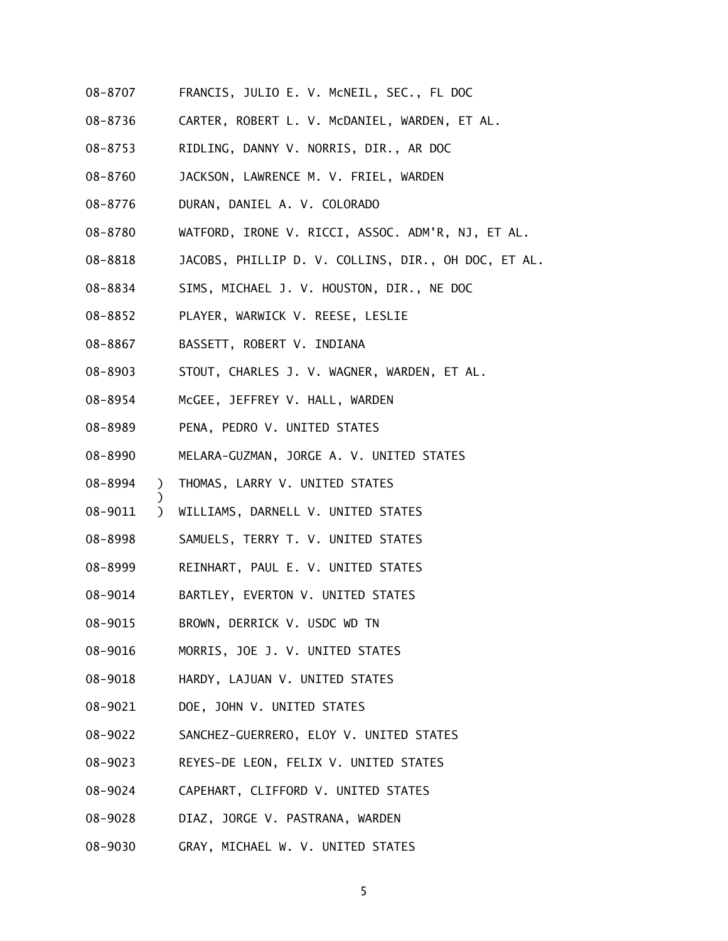- 08-8707 FRANCIS, JULIO E. V. McNEIL, SEC., FL DOC
- 08-8736 CARTER, ROBERT L. V. McDANIEL, WARDEN, ET AL.
- 08-8753 RIDLING, DANNY V. NORRIS, DIR., AR DOC
- 08-8760 JACKSON, LAWRENCE M. V. FRIEL, WARDEN
- 08-8776 DURAN, DANIEL A. V. COLORADO
- 08-8780 WATFORD, IRONE V. RICCI, ASSOC. ADM'R, NJ, ET AL.
- 08-8818 JACOBS, PHILLIP D. V. COLLINS, DIR., OH DOC, ET AL.
- 08-8834 SIMS, MICHAEL J. V. HOUSTON, DIR., NE DOC
- 08-8852 PLAYER, WARWICK V. REESE, LESLIE
- 08-8867 BASSETT, ROBERT V. INDIANA
- 08-8903 STOUT, CHARLES J. V. WAGNER, WARDEN, ET AL.
- 08-8954 McGEE, JEFFREY V. HALL, WARDEN
- 08-8989 PENA, PEDRO V. UNITED STATES
- 08-8990 MELARA-GUZMAN, JORGE A. V. UNITED STATES
- 08-8994 ) THOMAS, LARRY V. UNITED STATES

)

- 08-9011 ) WILLIAMS, DARNELL V. UNITED STATES
- 08-8998 SAMUELS, TERRY T. V. UNITED STATES
- 08-8999 REINHART, PAUL E. V. UNITED STATES
- 08-9014 BARTLEY, EVERTON V. UNITED STATES
- 08-9015 BROWN, DERRICK V. USDC WD TN
- 08-9016 MORRIS, JOE J. V. UNITED STATES
- 08-9018 HARDY, LAJUAN V. UNITED STATES
- 08-9021 DOE, JOHN V. UNITED STATES
- 08-9022 SANCHEZ-GUERRERO, ELOY V. UNITED STATES
- 08-9023 REYES-DE LEON, FELIX V. UNITED STATES
- 08-9024 CAPEHART, CLIFFORD V. UNITED STATES
- 08-9028 DIAZ, JORGE V. PASTRANA, WARDEN
- 08-9030 GRAY, MICHAEL W. V. UNITED STATES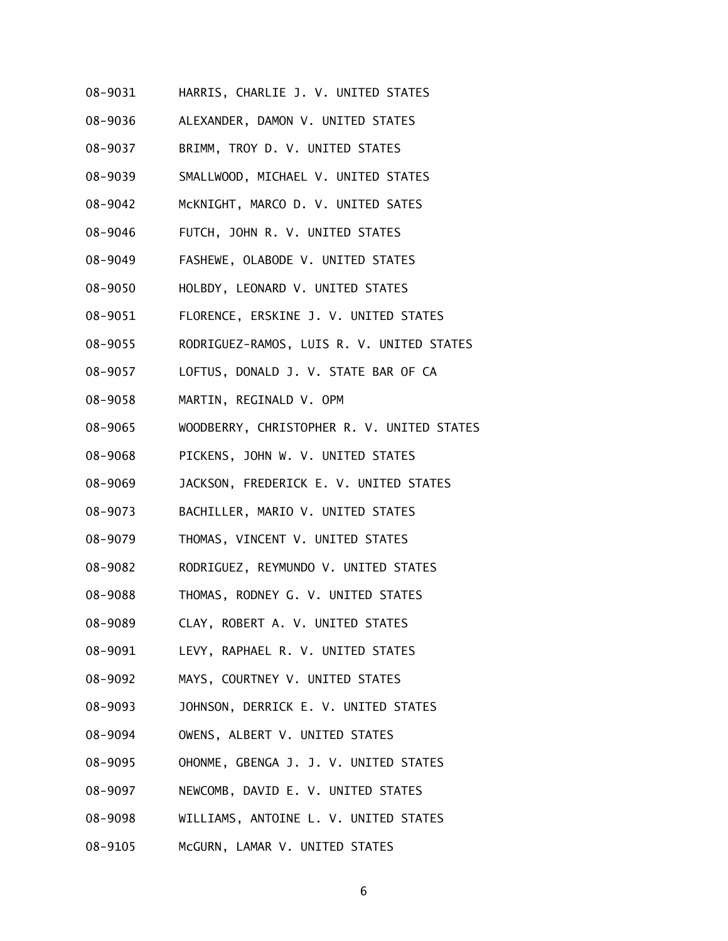- 08-9031 HARRIS, CHARLIE J. V. UNITED STATES
- 08-9036 ALEXANDER, DAMON V. UNITED STATES
- 08-9037 BRIMM, TROY D. V. UNITED STATES
- 08-9039 SMALLWOOD, MICHAEL V. UNITED STATES
- 08-9042 McKNIGHT, MARCO D. V. UNITED SATES
- 08-9046 FUTCH, JOHN R. V. UNITED STATES
- 08-9049 FASHEWE, OLABODE V. UNITED STATES
- 08-9050 HOLBDY, LEONARD V. UNITED STATES
- 08-9051 FLORENCE, ERSKINE J. V. UNITED STATES
- 08-9055 RODRIGUEZ-RAMOS, LUIS R. V. UNITED STATES
- 08-9057 LOFTUS, DONALD J. V. STATE BAR OF CA
- 08-9058 MARTIN, REGINALD V. OPM
- 08-9065 WOODBERRY, CHRISTOPHER R. V. UNITED STATES
- 08-9068 PICKENS, JOHN W. V. UNITED STATES
- 08-9069 JACKSON, FREDERICK E. V. UNITED STATES
- 08-9073 BACHILLER, MARIO V. UNITED STATES
- 08-9079 THOMAS, VINCENT V. UNITED STATES
- 08-9082 RODRIGUEZ, REYMUNDO V. UNITED STATES
- 08-9088 THOMAS, RODNEY G. V. UNITED STATES
- 08-9089 CLAY, ROBERT A. V. UNITED STATES
- 08-9091 LEVY, RAPHAEL R. V. UNITED STATES
- 08-9092 MAYS, COURTNEY V. UNITED STATES
- 08-9093 JOHNSON, DERRICK E. V. UNITED STATES
- 08-9094 OWENS, ALBERT V. UNITED STATES
- 08-9095 OHONME, GBENGA J. J. V. UNITED STATES
- 08-9097 NEWCOMB, DAVID E. V. UNITED STATES
- 08-9098 WILLIAMS, ANTOINE L. V. UNITED STATES
- 08-9105 McGURN, LAMAR V. UNITED STATES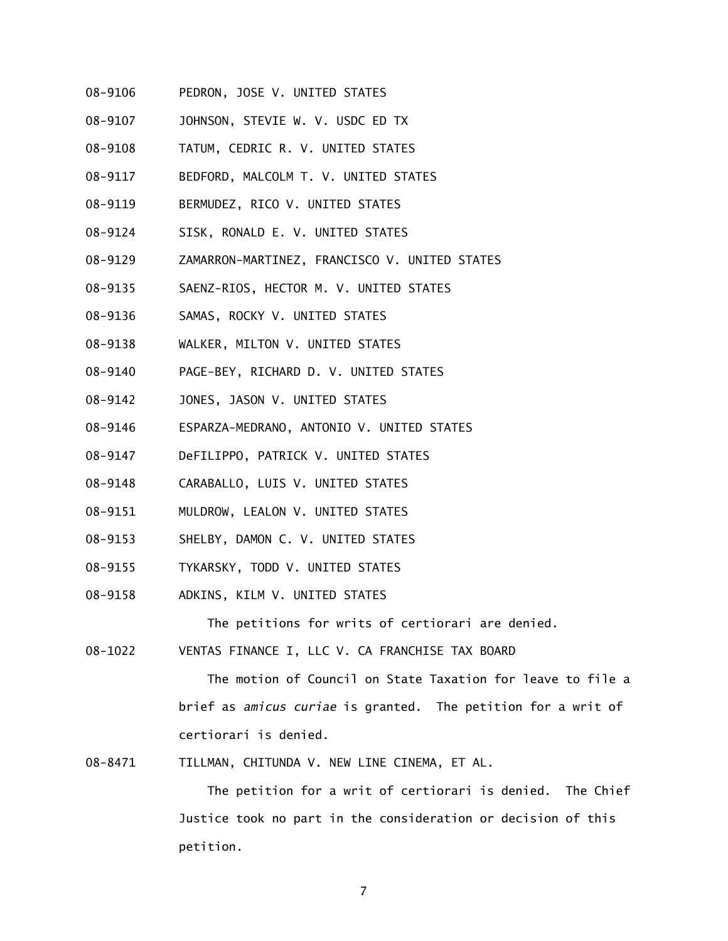- 08-9106 PEDRON, JOSE V. UNITED STATES
- 08-9107 JOHNSON, STEVIE W. V. USDC ED TX
- 08-9108 TATUM, CEDRIC R. V. UNITED STATES
- 08-9117 BEDFORD, MALCOLM T. V. UNITED STATES
- 08-9119 BERMUDEZ, RICO V. UNITED STATES
- 08-9124 SISK, RONALD E. V. UNITED STATES
- 08-9129 ZAMARRON-MARTINEZ, FRANCISCO V. UNITED STATES
- 08-9135 SAENZ-RIOS, HECTOR M. V. UNITED STATES
- 08-9136 SAMAS, ROCKY V. UNITED STATES
- 08-9138 WALKER, MILTON V. UNITED STATES
- 08-9140 PAGE-BEY, RICHARD D. V. UNITED STATES
- 08-9142 JONES, JASON V. UNITED STATES
- 08-9146 ESPARZA-MEDRANO, ANTONIO V. UNITED STATES
- 08-9147 DeFILIPPO, PATRICK V. UNITED STATES
- 08-9148 CARABALLO, LUIS V. UNITED STATES
- 08-9151 MULDROW, LEALON V. UNITED STATES
- 08-9153 SHELBY, DAMON C. V. UNITED STATES
- 08-9155 TYKARSKY, TODD V. UNITED STATES
- 08-9158 ADKINS, KILM V. UNITED STATES

The petitions for writs of certiorari are denied.

08-1022 VENTAS FINANCE I, LLC V. CA FRANCHISE TAX BOARD

 The motion of Council on State Taxation for leave to file a brief as *amicus curiae* is granted. The petition for a writ of certiorari is denied.

08-8471 TILLMAN, CHITUNDA V. NEW LINE CINEMA, ET AL.

 The petition for a writ of certiorari is denied. The Chief Justice took no part in the consideration or decision of this petition.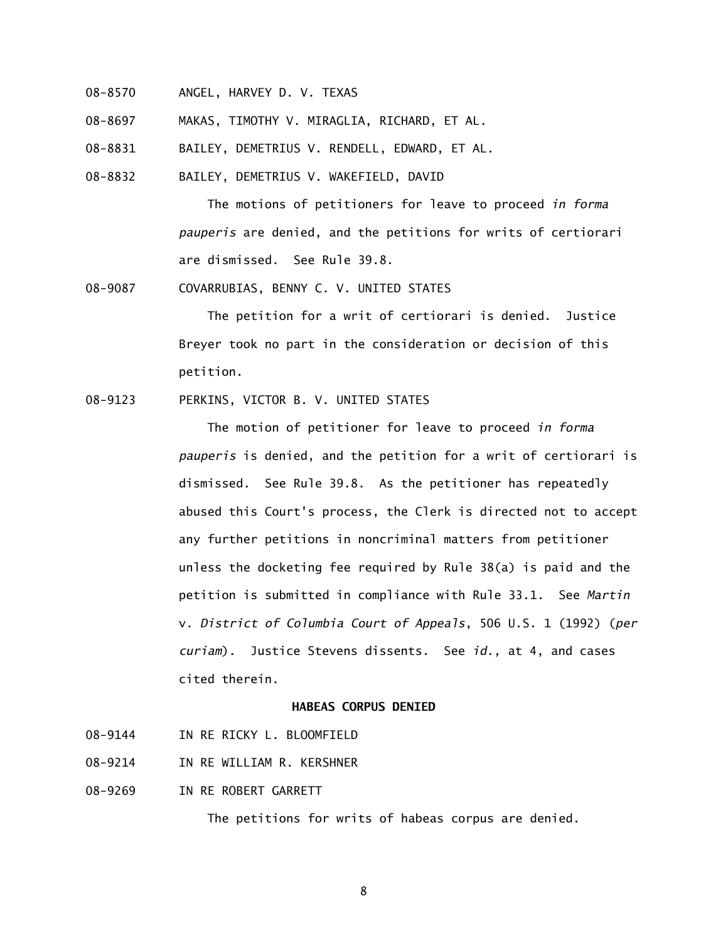- 08-8570 ANGEL, HARVEY D. V. TEXAS
- 08-8697 MAKAS, TIMOTHY V. MIRAGLIA, RICHARD, ET AL.

08-8831 BAILEY, DEMETRIUS V. RENDELL, EDWARD, ET AL.

08-8832 BAILEY, DEMETRIUS V. WAKEFIELD, DAVID

 The motions of petitioners for leave to proceed *in forma pauperis* are denied, and the petitions for writs of certiorari are dismissed. See Rule 39.8.

08-9087 COVARRUBIAS, BENNY C. V. UNITED STATES

 The petition for a writ of certiorari is denied. Justice Breyer took no part in the consideration or decision of this petition.

## 08-9123 PERKINS, VICTOR B. V. UNITED STATES

 The motion of petitioner for leave to proceed *in forma pauperis* is denied, and the petition for a writ of certiorari is dismissed. See Rule 39.8. As the petitioner has repeatedly abused this Court's process, the Clerk is directed not to accept any further petitions in noncriminal matters from petitioner unless the docketing fee required by Rule 38(a) is paid and the petition is submitted in compliance with Rule 33.1. See *Martin*  v. *District of Columbia Court of Appeals*, 506 U.S. 1 (1992) (*per curiam*). Justice Stevens dissents. See *id.,* at 4, and cases cited therein.

# **HABEAS CORPUS DENIED**

- 08-9144 IN RE RICKY L. BLOOMFTELD
- 08-9214 IN RE WILLIAM R. KERSHNER
- 08-9269 IN RE ROBERT GARRETT

The petitions for writs of habeas corpus are denied.